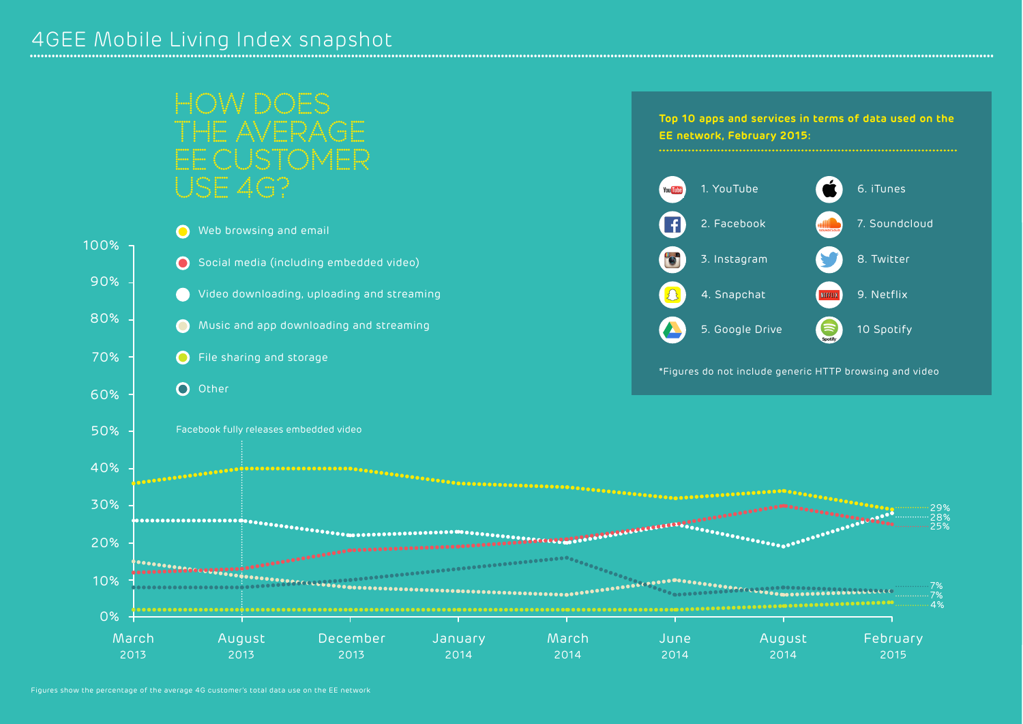## HOW DOES F AVERAGE EE CUSTOMER USE 4G? 1. YouTube 1. YouTube 1. YouTube 1. YouTube 1. YouTube 1. YouTube 1. YouTube

**Top 10 apps and services in terms of data used on the EE network, February 2015:**